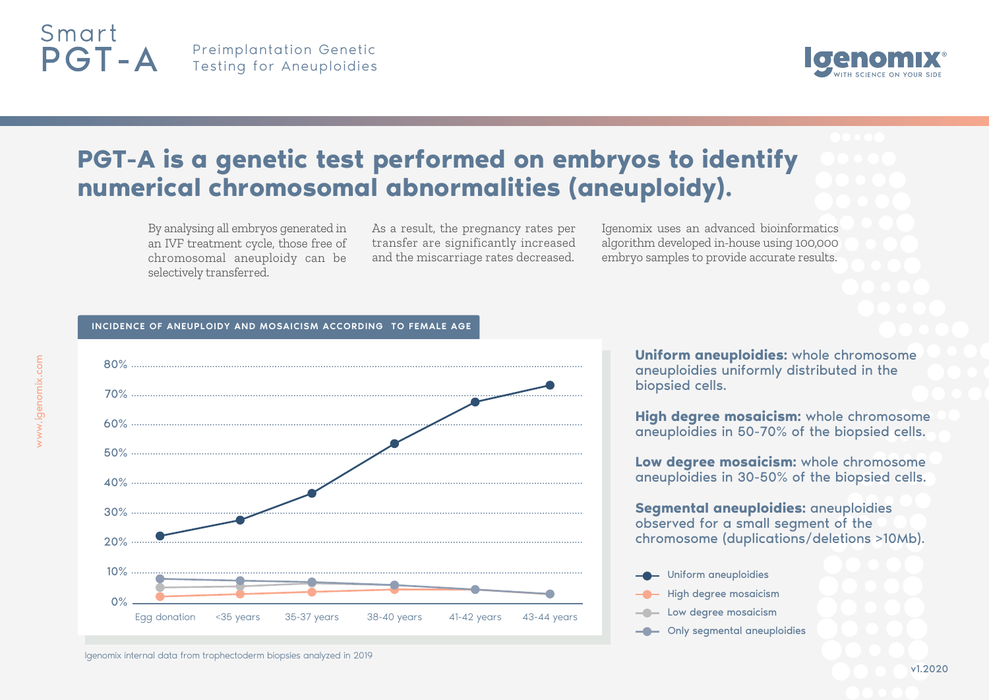

Preimplantation Genetic Testing for Aneuploidies



# **PGT-A is a genetic test performed on embryos to identify numerical chromosomal abnormalities (aneuploidy).**

By analysing all embryos generated in an IVF treatment cycle, those free of chromosomal aneuploidy can be selectively transferred.

As a result, the pregnancy rates per transfer are significantly increased and the miscarriage rates decreased.

Igenomix uses an advanced bioinformatics algorithm developed in-house using 100,000 embryo samples to provide accurate results.

### INCIDENCE OF ANEUPLOIDY AND MOSAICISM ACCORDING TO FEMALE AGE



Igenomix internal data from trophectoderm biopsies analyzed in 2019

**Uniform aneuploidies:** whole chromosome aneuploidies uniformly distributed in the biopsied cells.

**High degree mosaicism:** whole chromosome aneuploidies in 50-70% of the biopsied cells.

**Low degree mosaicism:** whole chromosome aneuploidies in 30-50% of the biopsied cells.

**Segmental aneuploidies:** aneuploidies observed for a small segment of the chromosome (duplications/deletions >10Mb).



- High degree mosaicism
- **Low degree mosaicism**
- **-C** Only segmental aneuploidies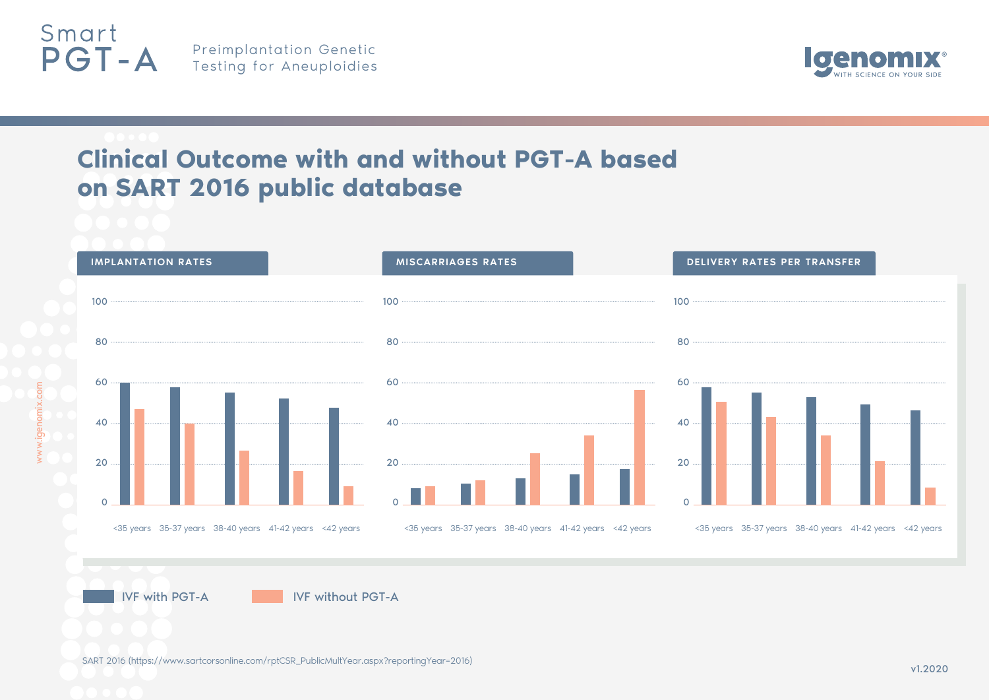



# **Clinical Outcome with and without PGT-A based on SART 2016 public database**



**IVF with PGT-A IVF without PGT-A** 

SART 2016 (https://www.sartcorsonline.com/rptCSR\_PublicMultYear.aspx?reportingYear=2016) v1.2020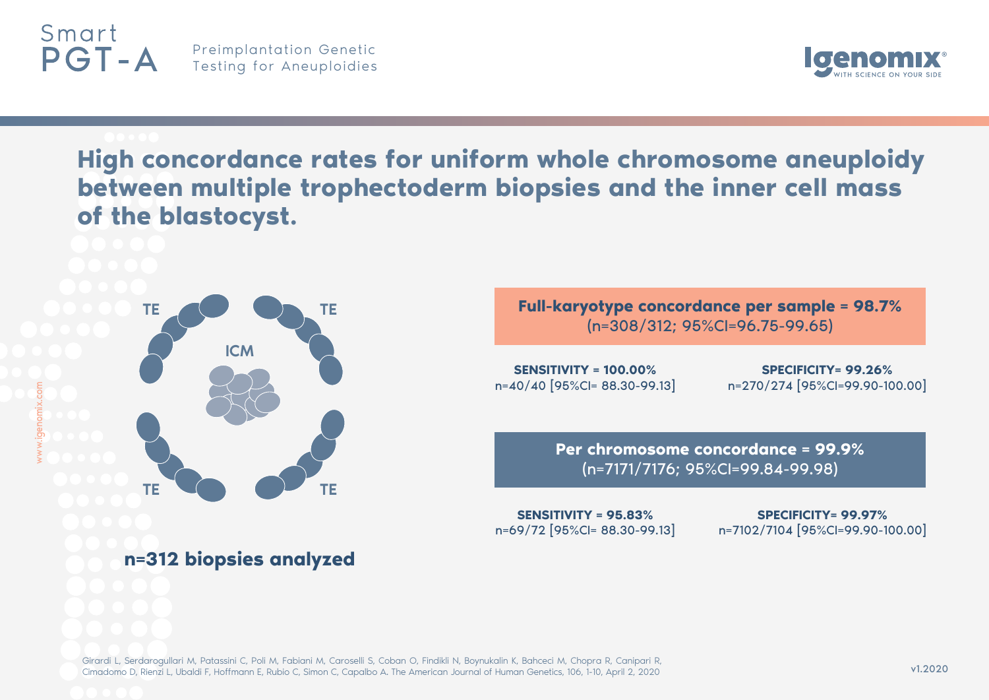

w

ww.igenomix.co

## Preimplantation Genetic Testing for Aneuploidies



**High concordance rates for uniform whole chromosome aneuploidy between multiple trophectoderm biopsies and the inner cell mass of the blastocyst.** 



## **n=312 biopsies analyzed**

**Full-karyotype concordance per sample = 98.7%** (n=308/312; 95%CI=96.75-99.65)

**SENSITIVITY = 100.00%** n=40/40 [95%CI= 88.30-99.13]

**SPECIFICITY= 99.26%**  n=270/274 [95%CI=99.90-100.00]

**Per chromosome concordance = 99.9%** (n=7171/7176; 95%CI=99.84-99.98)

**SENSITIVITY = 95.83%**  n=69/72 [95%CI= 88.30-99.13]

**SPECIFICITY= 99.97%**  n=7102/7104 [95%CI=99.90-100.00]

Girardi L, Serdarogullari M, Patassini C, Poli M, Fabiani M, Caroselli S, Coban O, Findikli N, Boynukalin K, Bahceci M, Chopra R, Canipari R, Cimadomo D, Rienzi L, Ubaldi F, Hoffmann E, Rubio C, Simon C, Capalbo A. The American Journal of Human Genetics, 106, 1-10, April 2, 2020